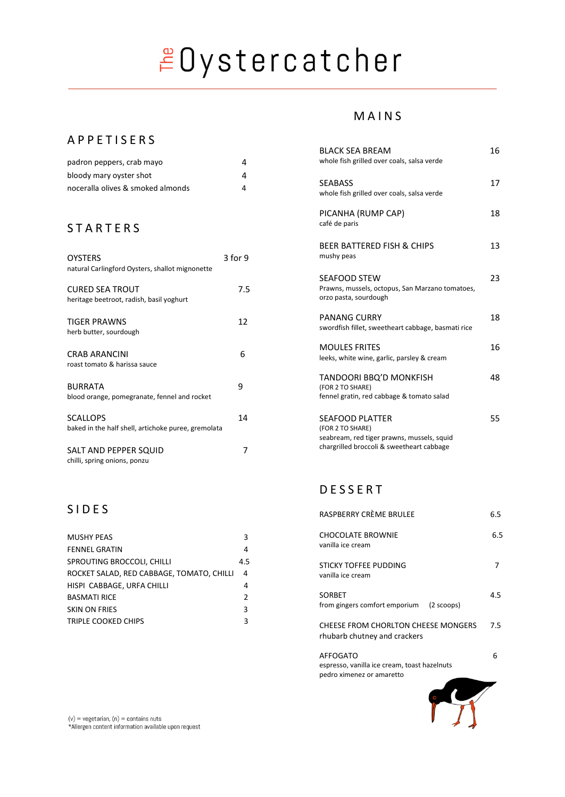# EDystercatcher

#### A P P E T I S E R S

| padron peppers, crab mayo         |  |
|-----------------------------------|--|
| bloody mary oyster shot           |  |
| noceralla olives & smoked almonds |  |

#### **STARTERS**

| <b>OYSTERS</b><br>natural Carlingford Oysters, shallot mignonette      | $3$ for 9 |
|------------------------------------------------------------------------|-----------|
| <b>CURED SEA TROUT</b><br>heritage beetroot, radish, basil yoghurt     | 7.5       |
| <b>TIGER PRAWNS</b><br>herb butter, sourdough                          | 12        |
| <b>CRAB ARANCINI</b><br>roast tomato & harissa sauce                   | 6         |
| <b>BURRATA</b><br>blood orange, pomegranate, fennel and rocket         | ۹         |
| <b>SCALLOPS</b><br>baked in the half shell, artichoke puree, gremolata | 14        |
| SALT AND PEPPER SQUID<br>chilli, spring onions, ponzu                  |           |

### S I D E S

| <b>MUSHY PEAS</b>                         | ς             |
|-------------------------------------------|---------------|
| <b>FENNEL GRATIN</b>                      | 4             |
| SPROUTING BROCCOLI, CHILLI                | 4.5           |
| ROCKET SALAD, RED CABBAGE, TOMATO, CHILLI | 4             |
| HISPI CABBAGE, URFA CHILLI                | 4             |
| <b>BASMATI RICE</b>                       | $\mathcal{P}$ |
| <b>SKIN ON FRIES</b>                      | ર             |
| TRIPLE COOKED CHIPS                       | ς             |
|                                           |               |

#### M A I N S

| <b>BLACK SEA BREAM</b><br>whole fish grilled over coals, salsa verde                                                                  | 16 |
|---------------------------------------------------------------------------------------------------------------------------------------|----|
| <b>SEABASS</b><br>whole fish grilled over coals, salsa verde                                                                          | 17 |
| PICANHA (RUMP CAP)<br>café de paris                                                                                                   | 18 |
| BEER BATTERED FISH & CHIPS<br>mushy peas                                                                                              | 13 |
| SEAFOOD STEW<br>Prawns, mussels, octopus, San Marzano tomatoes,<br>orzo pasta, sourdough                                              | 23 |
| <b>PANANG CURRY</b><br>swordfish fillet, sweetheart cabbage, basmati rice                                                             | 18 |
| <b>MOULES FRITES</b><br>leeks, white wine, garlic, parsley & cream                                                                    | 16 |
| TANDOORI BBQ'D MONKFISH<br>(FOR 2 TO SHARE)<br>fennel gratin, red cabbage & tomato salad                                              | 48 |
| <b>SEAFOOD PLATTER</b><br>(FOR 2 TO SHARE)<br>seabream, red tiger prawns, mussels, squid<br>chargrilled broccoli & sweetheart cabbage | 55 |

### D E S S E R T

| RASPBERRY CRÈME BRULEE                                                                       | 6.5 |
|----------------------------------------------------------------------------------------------|-----|
| <b>CHOCOLATE BROWNIE</b><br>vanilla ice cream                                                | 6.5 |
| STICKY TOFFEE PUDDING<br>vanilla ice cream                                                   |     |
| SORBET<br>from gingers comfort emporium (2 scoops)                                           | 4.5 |
| CHEESE FROM CHORLTON CHEESE MONGERS<br>rhubarb chutney and crackers                          | 7.5 |
| <b>AFFOGATO</b><br>espresso, vanilla ice cream, toast hazelnuts<br>pedro ximenez or amaretto | 6   |